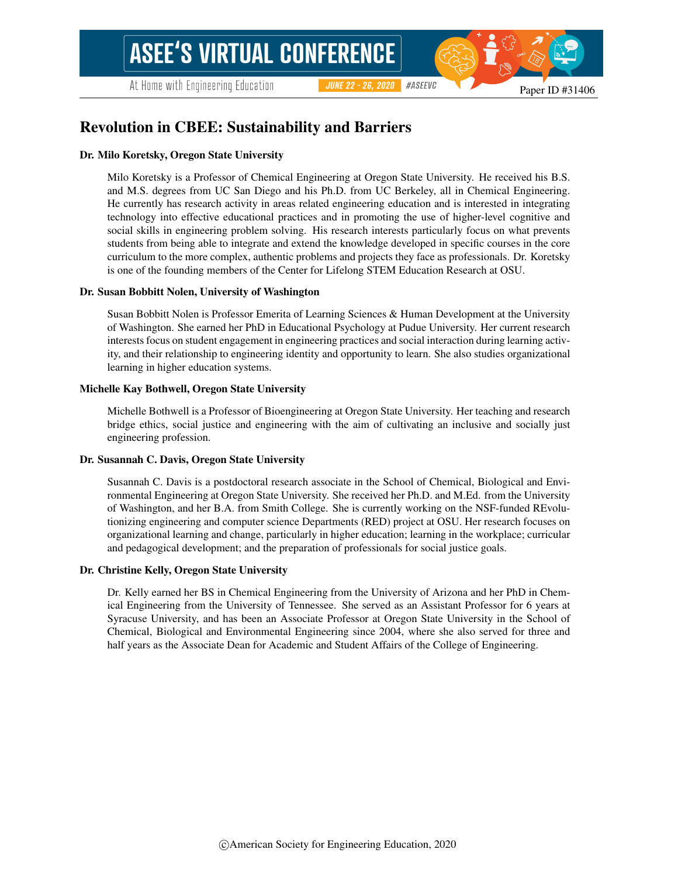# Revolution in CBEE: Sustainability and Barriers

#### Dr. Milo Koretsky, Oregon State University

Milo Koretsky is a Professor of Chemical Engineering at Oregon State University. He received his B.S. and M.S. degrees from UC San Diego and his Ph.D. from UC Berkeley, all in Chemical Engineering. He currently has research activity in areas related engineering education and is interested in integrating technology into effective educational practices and in promoting the use of higher-level cognitive and social skills in engineering problem solving. His research interests particularly focus on what prevents students from being able to integrate and extend the knowledge developed in specific courses in the core curriculum to the more complex, authentic problems and projects they face as professionals. Dr. Koretsky is one of the founding members of the Center for Lifelong STEM Education Research at OSU.

#### Dr. Susan Bobbitt Nolen, University of Washington

Susan Bobbitt Nolen is Professor Emerita of Learning Sciences & Human Development at the University of Washington. She earned her PhD in Educational Psychology at Pudue University. Her current research interests focus on student engagement in engineering practices and social interaction during learning activity, and their relationship to engineering identity and opportunity to learn. She also studies organizational learning in higher education systems.

#### Michelle Kay Bothwell, Oregon State University

Michelle Bothwell is a Professor of Bioengineering at Oregon State University. Her teaching and research bridge ethics, social justice and engineering with the aim of cultivating an inclusive and socially just engineering profession.

#### Dr. Susannah C. Davis, Oregon State University

Susannah C. Davis is a postdoctoral research associate in the School of Chemical, Biological and Environmental Engineering at Oregon State University. She received her Ph.D. and M.Ed. from the University of Washington, and her B.A. from Smith College. She is currently working on the NSF-funded REvolutionizing engineering and computer science Departments (RED) project at OSU. Her research focuses on organizational learning and change, particularly in higher education; learning in the workplace; curricular and pedagogical development; and the preparation of professionals for social justice goals.

#### Dr. Christine Kelly, Oregon State University

Dr. Kelly earned her BS in Chemical Engineering from the University of Arizona and her PhD in Chemical Engineering from the University of Tennessee. She served as an Assistant Professor for 6 years at Syracuse University, and has been an Associate Professor at Oregon State University in the School of Chemical, Biological and Environmental Engineering since 2004, where she also served for three and half years as the Associate Dean for Academic and Student Affairs of the College of Engineering.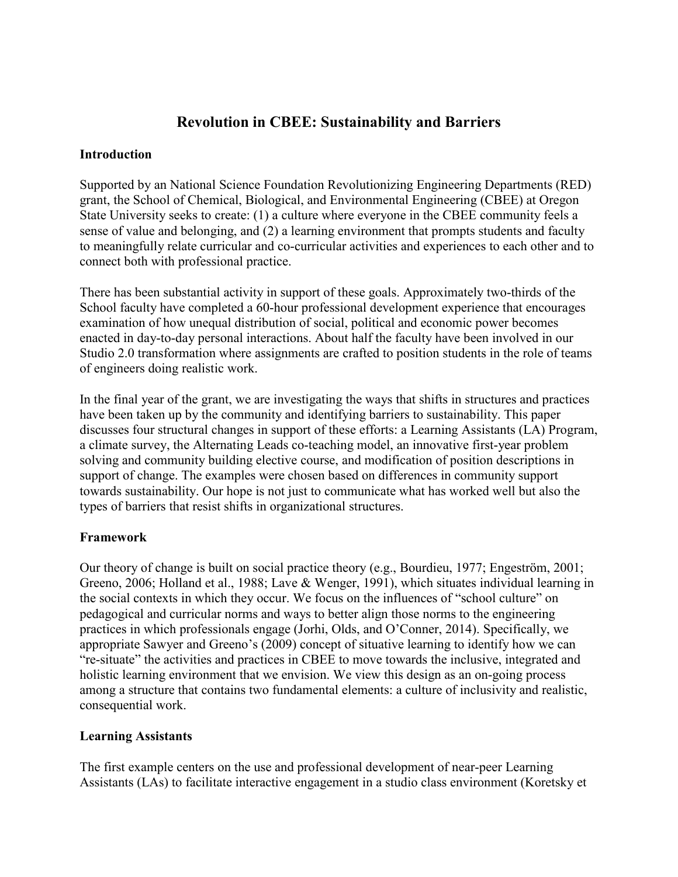# **Revolution in CBEE: Sustainability and Barriers**

### **Introduction**

Supported by an National Science Foundation Revolutionizing Engineering Departments (RED) grant, the School of Chemical, Biological, and Environmental Engineering (CBEE) at Oregon State University seeks to create: (1) a culture where everyone in the CBEE community feels a sense of value and belonging, and (2) a learning environment that prompts students and faculty to meaningfully relate curricular and co-curricular activities and experiences to each other and to connect both with professional practice.

There has been substantial activity in support of these goals. Approximately two-thirds of the School faculty have completed a 60-hour professional development experience that encourages examination of how unequal distribution of social, political and economic power becomes enacted in day-to-day personal interactions. About half the faculty have been involved in our Studio 2.0 transformation where assignments are crafted to position students in the role of teams of engineers doing realistic work.

In the final year of the grant, we are investigating the ways that shifts in structures and practices have been taken up by the community and identifying barriers to sustainability. This paper discusses four structural changes in support of these efforts: a Learning Assistants (LA) Program, a climate survey, the Alternating Leads co-teaching model, an innovative first-year problem solving and community building elective course, and modification of position descriptions in support of change. The examples were chosen based on differences in community support towards sustainability. Our hope is not just to communicate what has worked well but also the types of barriers that resist shifts in organizational structures.

### **Framework**

Our theory of change is built on social practice theory (e.g., Bourdieu, 1977; Engeström, 2001; Greeno, 2006; Holland et al., 1988; Lave & Wenger, 1991), which situates individual learning in the social contexts in which they occur. We focus on the influences of "school culture" on pedagogical and curricular norms and ways to better align those norms to the engineering practices in which professionals engage (Jorhi, Olds, and O'Conner, 2014). Specifically, we appropriate Sawyer and Greeno's (2009) concept of situative learning to identify how we can "re-situate" the activities and practices in CBEE to move towards the inclusive, integrated and holistic learning environment that we envision. We view this design as an on-going process among a structure that contains two fundamental elements: a culture of inclusivity and realistic, consequential work.

### **Learning Assistants**

The first example centers on the use and professional development of near-peer Learning Assistants (LAs) to facilitate interactive engagement in a studio class environment (Koretsky et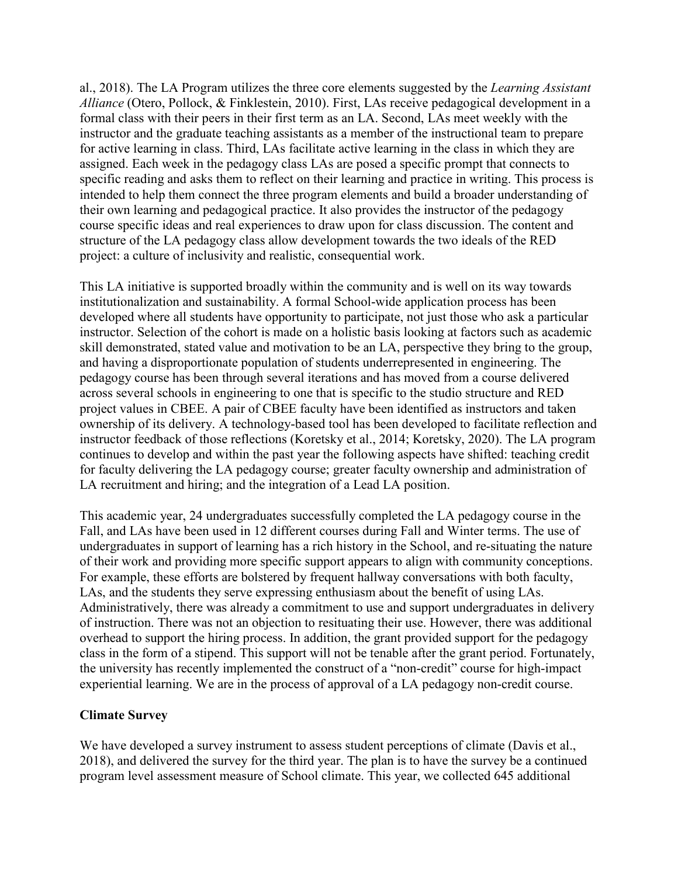al., 2018). The LA Program utilizes the three core elements suggested by the *Learning Assistant Alliance* (Otero, Pollock, & Finklestein, 2010). First, LAs receive pedagogical development in a formal class with their peers in their first term as an LA. Second, LAs meet weekly with the instructor and the graduate teaching assistants as a member of the instructional team to prepare for active learning in class. Third, LAs facilitate active learning in the class in which they are assigned. Each week in the pedagogy class LAs are posed a specific prompt that connects to specific reading and asks them to reflect on their learning and practice in writing. This process is intended to help them connect the three program elements and build a broader understanding of their own learning and pedagogical practice. It also provides the instructor of the pedagogy course specific ideas and real experiences to draw upon for class discussion. The content and structure of the LA pedagogy class allow development towards the two ideals of the RED project: a culture of inclusivity and realistic, consequential work.

This LA initiative is supported broadly within the community and is well on its way towards institutionalization and sustainability. A formal School-wide application process has been developed where all students have opportunity to participate, not just those who ask a particular instructor. Selection of the cohort is made on a holistic basis looking at factors such as academic skill demonstrated, stated value and motivation to be an LA, perspective they bring to the group, and having a disproportionate population of students underrepresented in engineering. The pedagogy course has been through several iterations and has moved from a course delivered across several schools in engineering to one that is specific to the studio structure and RED project values in CBEE. A pair of CBEE faculty have been identified as instructors and taken ownership of its delivery. A technology-based tool has been developed to facilitate reflection and instructor feedback of those reflections (Koretsky et al., 2014; Koretsky, 2020). The LA program continues to develop and within the past year the following aspects have shifted: teaching credit for faculty delivering the LA pedagogy course; greater faculty ownership and administration of LA recruitment and hiring; and the integration of a Lead LA position.

This academic year, 24 undergraduates successfully completed the LA pedagogy course in the Fall, and LAs have been used in 12 different courses during Fall and Winter terms. The use of undergraduates in support of learning has a rich history in the School, and re-situating the nature of their work and providing more specific support appears to align with community conceptions. For example, these efforts are bolstered by frequent hallway conversations with both faculty, LAs, and the students they serve expressing enthusiasm about the benefit of using LAs. Administratively, there was already a commitment to use and support undergraduates in delivery of instruction. There was not an objection to resituating their use. However, there was additional overhead to support the hiring process. In addition, the grant provided support for the pedagogy class in the form of a stipend. This support will not be tenable after the grant period. Fortunately, the university has recently implemented the construct of a "non-credit" course for high-impact experiential learning. We are in the process of approval of a LA pedagogy non-credit course.

### **Climate Survey**

We have developed a survey instrument to assess student perceptions of climate (Davis et al., 2018), and delivered the survey for the third year. The plan is to have the survey be a continued program level assessment measure of School climate. This year, we collected 645 additional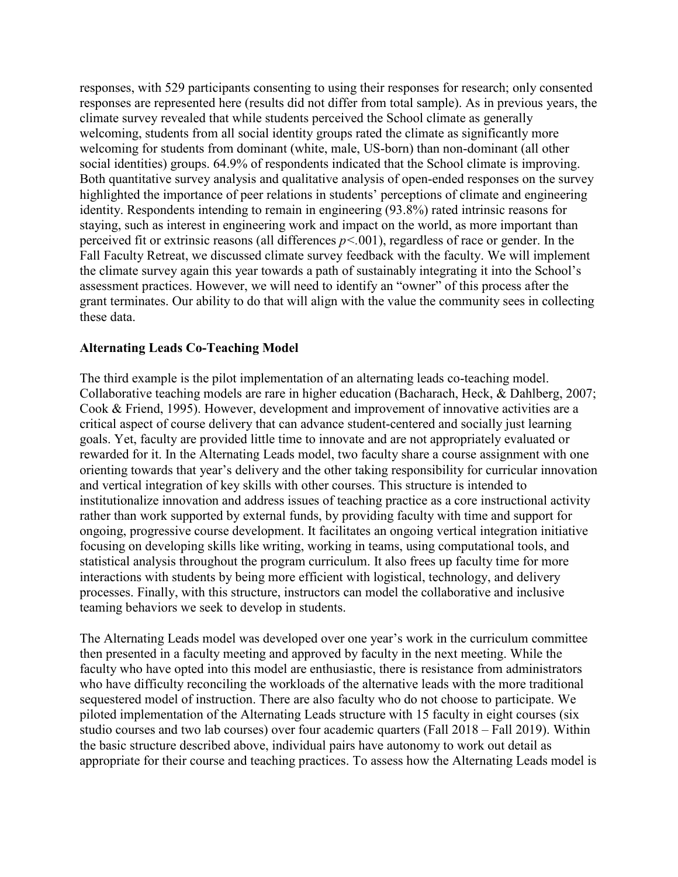responses, with 529 participants consenting to using their responses for research; only consented responses are represented here (results did not differ from total sample). As in previous years, the climate survey revealed that while students perceived the School climate as generally welcoming, students from all social identity groups rated the climate as significantly more welcoming for students from dominant (white, male, US-born) than non-dominant (all other social identities) groups. 64.9% of respondents indicated that the School climate is improving. Both quantitative survey analysis and qualitative analysis of open-ended responses on the survey highlighted the importance of peer relations in students' perceptions of climate and engineering identity. Respondents intending to remain in engineering (93.8%) rated intrinsic reasons for staying, such as interest in engineering work and impact on the world, as more important than perceived fit or extrinsic reasons (all differences *p<.*001), regardless of race or gender. In the Fall Faculty Retreat, we discussed climate survey feedback with the faculty. We will implement the climate survey again this year towards a path of sustainably integrating it into the School's assessment practices. However, we will need to identify an "owner" of this process after the grant terminates. Our ability to do that will align with the value the community sees in collecting these data.

### **Alternating Leads Co-Teaching Model**

The third example is the pilot implementation of an alternating leads co-teaching model. Collaborative teaching models are rare in higher education (Bacharach, Heck, & Dahlberg, 2007; Cook & Friend, 1995). However, development and improvement of innovative activities are a critical aspect of course delivery that can advance student-centered and socially just learning goals. Yet, faculty are provided little time to innovate and are not appropriately evaluated or rewarded for it. In the Alternating Leads model, two faculty share a course assignment with one orienting towards that year's delivery and the other taking responsibility for curricular innovation and vertical integration of key skills with other courses. This structure is intended to institutionalize innovation and address issues of teaching practice as a core instructional activity rather than work supported by external funds, by providing faculty with time and support for ongoing, progressive course development. It facilitates an ongoing vertical integration initiative focusing on developing skills like writing, working in teams, using computational tools, and statistical analysis throughout the program curriculum. It also frees up faculty time for more interactions with students by being more efficient with logistical, technology, and delivery processes. Finally, with this structure, instructors can model the collaborative and inclusive teaming behaviors we seek to develop in students.

The Alternating Leads model was developed over one year's work in the curriculum committee then presented in a faculty meeting and approved by faculty in the next meeting. While the faculty who have opted into this model are enthusiastic, there is resistance from administrators who have difficulty reconciling the workloads of the alternative leads with the more traditional sequestered model of instruction. There are also faculty who do not choose to participate. We piloted implementation of the Alternating Leads structure with 15 faculty in eight courses (six studio courses and two lab courses) over four academic quarters (Fall 2018 – Fall 2019). Within the basic structure described above, individual pairs have autonomy to work out detail as appropriate for their course and teaching practices. To assess how the Alternating Leads model is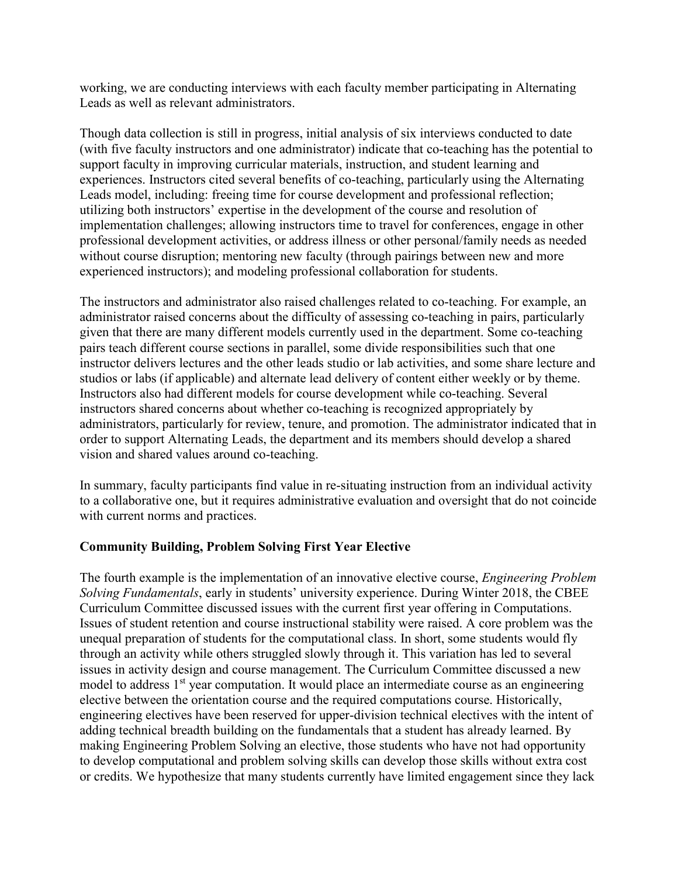working, we are conducting interviews with each faculty member participating in Alternating Leads as well as relevant administrators.

Though data collection is still in progress, initial analysis of six interviews conducted to date (with five faculty instructors and one administrator) indicate that co-teaching has the potential to support faculty in improving curricular materials, instruction, and student learning and experiences. Instructors cited several benefits of co-teaching, particularly using the Alternating Leads model, including: freeing time for course development and professional reflection; utilizing both instructors' expertise in the development of the course and resolution of implementation challenges; allowing instructors time to travel for conferences, engage in other professional development activities, or address illness or other personal/family needs as needed without course disruption; mentoring new faculty (through pairings between new and more experienced instructors); and modeling professional collaboration for students.

The instructors and administrator also raised challenges related to co-teaching. For example, an administrator raised concerns about the difficulty of assessing co-teaching in pairs, particularly given that there are many different models currently used in the department. Some co-teaching pairs teach different course sections in parallel, some divide responsibilities such that one instructor delivers lectures and the other leads studio or lab activities, and some share lecture and studios or labs (if applicable) and alternate lead delivery of content either weekly or by theme. Instructors also had different models for course development while co-teaching. Several instructors shared concerns about whether co-teaching is recognized appropriately by administrators, particularly for review, tenure, and promotion. The administrator indicated that in order to support Alternating Leads, the department and its members should develop a shared vision and shared values around co-teaching.

In summary, faculty participants find value in re-situating instruction from an individual activity to a collaborative one, but it requires administrative evaluation and oversight that do not coincide with current norms and practices.

## **Community Building, Problem Solving First Year Elective**

The fourth example is the implementation of an innovative elective course, *Engineering Problem Solving Fundamentals*, early in students' university experience. During Winter 2018, the CBEE Curriculum Committee discussed issues with the current first year offering in Computations. Issues of student retention and course instructional stability were raised. A core problem was the unequal preparation of students for the computational class. In short, some students would fly through an activity while others struggled slowly through it. This variation has led to several issues in activity design and course management. The Curriculum Committee discussed a new model to address  $1<sup>st</sup>$  year computation. It would place an intermediate course as an engineering elective between the orientation course and the required computations course. Historically, engineering electives have been reserved for upper-division technical electives with the intent of adding technical breadth building on the fundamentals that a student has already learned. By making Engineering Problem Solving an elective, those students who have not had opportunity to develop computational and problem solving skills can develop those skills without extra cost or credits. We hypothesize that many students currently have limited engagement since they lack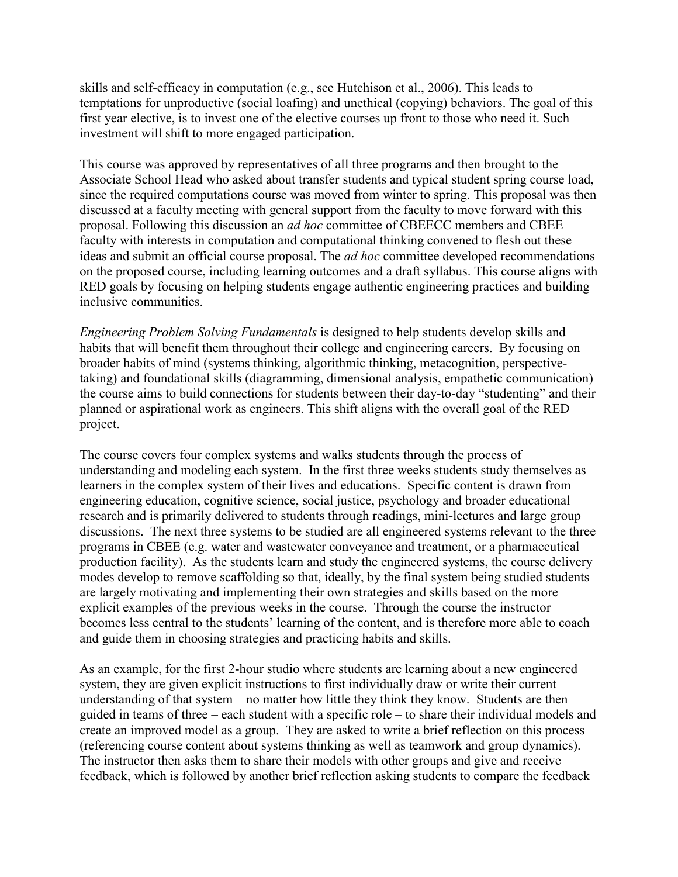skills and self-efficacy in computation (e.g., see Hutchison et al., 2006). This leads to temptations for unproductive (social loafing) and unethical (copying) behaviors. The goal of this first year elective, is to invest one of the elective courses up front to those who need it. Such investment will shift to more engaged participation.

This course was approved by representatives of all three programs and then brought to the Associate School Head who asked about transfer students and typical student spring course load, since the required computations course was moved from winter to spring. This proposal was then discussed at a faculty meeting with general support from the faculty to move forward with this proposal. Following this discussion an *ad hoc* committee of CBEECC members and CBEE faculty with interests in computation and computational thinking convened to flesh out these ideas and submit an official course proposal. The *ad hoc* committee developed recommendations on the proposed course, including learning outcomes and a draft syllabus. This course aligns with RED goals by focusing on helping students engage authentic engineering practices and building inclusive communities.

*Engineering Problem Solving Fundamentals* is designed to help students develop skills and habits that will benefit them throughout their college and engineering careers. By focusing on broader habits of mind (systems thinking, algorithmic thinking, metacognition, perspectivetaking) and foundational skills (diagramming, dimensional analysis, empathetic communication) the course aims to build connections for students between their day-to-day "studenting" and their planned or aspirational work as engineers. This shift aligns with the overall goal of the RED project.

The course covers four complex systems and walks students through the process of understanding and modeling each system. In the first three weeks students study themselves as learners in the complex system of their lives and educations. Specific content is drawn from engineering education, cognitive science, social justice, psychology and broader educational research and is primarily delivered to students through readings, mini-lectures and large group discussions. The next three systems to be studied are all engineered systems relevant to the three programs in CBEE (e.g. water and wastewater conveyance and treatment, or a pharmaceutical production facility). As the students learn and study the engineered systems, the course delivery modes develop to remove scaffolding so that, ideally, by the final system being studied students are largely motivating and implementing their own strategies and skills based on the more explicit examples of the previous weeks in the course. Through the course the instructor becomes less central to the students' learning of the content, and is therefore more able to coach and guide them in choosing strategies and practicing habits and skills.

As an example, for the first 2-hour studio where students are learning about a new engineered system, they are given explicit instructions to first individually draw or write their current understanding of that system – no matter how little they think they know. Students are then guided in teams of three – each student with a specific role – to share their individual models and create an improved model as a group. They are asked to write a brief reflection on this process (referencing course content about systems thinking as well as teamwork and group dynamics). The instructor then asks them to share their models with other groups and give and receive feedback, which is followed by another brief reflection asking students to compare the feedback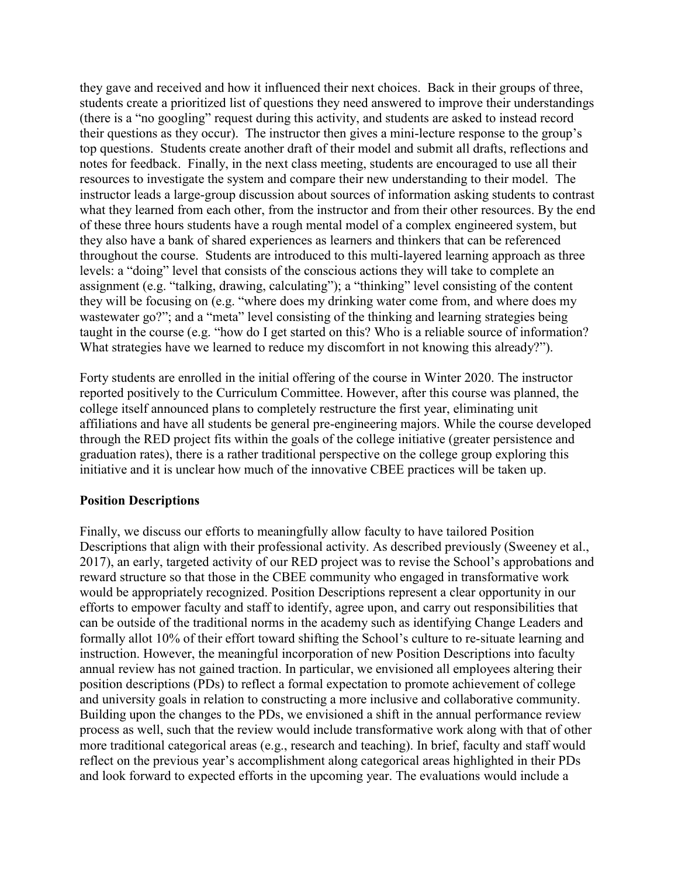they gave and received and how it influenced their next choices. Back in their groups of three, students create a prioritized list of questions they need answered to improve their understandings (there is a "no googling" request during this activity, and students are asked to instead record their questions as they occur). The instructor then gives a mini-lecture response to the group's top questions. Students create another draft of their model and submit all drafts, reflections and notes for feedback. Finally, in the next class meeting, students are encouraged to use all their resources to investigate the system and compare their new understanding to their model. The instructor leads a large-group discussion about sources of information asking students to contrast what they learned from each other, from the instructor and from their other resources. By the end of these three hours students have a rough mental model of a complex engineered system, but they also have a bank of shared experiences as learners and thinkers that can be referenced throughout the course. Students are introduced to this multi-layered learning approach as three levels: a "doing" level that consists of the conscious actions they will take to complete an assignment (e.g. "talking, drawing, calculating"); a "thinking" level consisting of the content they will be focusing on (e.g. "where does my drinking water come from, and where does my wastewater go?"; and a "meta" level consisting of the thinking and learning strategies being taught in the course (e.g. "how do I get started on this? Who is a reliable source of information? What strategies have we learned to reduce my discomfort in not knowing this already?").

Forty students are enrolled in the initial offering of the course in Winter 2020. The instructor reported positively to the Curriculum Committee. However, after this course was planned, the college itself announced plans to completely restructure the first year, eliminating unit affiliations and have all students be general pre-engineering majors. While the course developed through the RED project fits within the goals of the college initiative (greater persistence and graduation rates), there is a rather traditional perspective on the college group exploring this initiative and it is unclear how much of the innovative CBEE practices will be taken up.

### **Position Descriptions**

Finally, we discuss our efforts to meaningfully allow faculty to have tailored Position Descriptions that align with their professional activity. As described previously (Sweeney et al., 2017), an early, targeted activity of our RED project was to revise the School's approbations and reward structure so that those in the CBEE community who engaged in transformative work would be appropriately recognized. Position Descriptions represent a clear opportunity in our efforts to empower faculty and staff to identify, agree upon, and carry out responsibilities that can be outside of the traditional norms in the academy such as identifying Change Leaders and formally allot 10% of their effort toward shifting the School's culture to re-situate learning and instruction. However, the meaningful incorporation of new Position Descriptions into faculty annual review has not gained traction. In particular, we envisioned all employees altering their position descriptions (PDs) to reflect a formal expectation to promote achievement of college and university goals in relation to constructing a more inclusive and collaborative community. Building upon the changes to the PDs, we envisioned a shift in the annual performance review process as well, such that the review would include transformative work along with that of other more traditional categorical areas (e.g., research and teaching). In brief, faculty and staff would reflect on the previous year's accomplishment along categorical areas highlighted in their PDs and look forward to expected efforts in the upcoming year. The evaluations would include a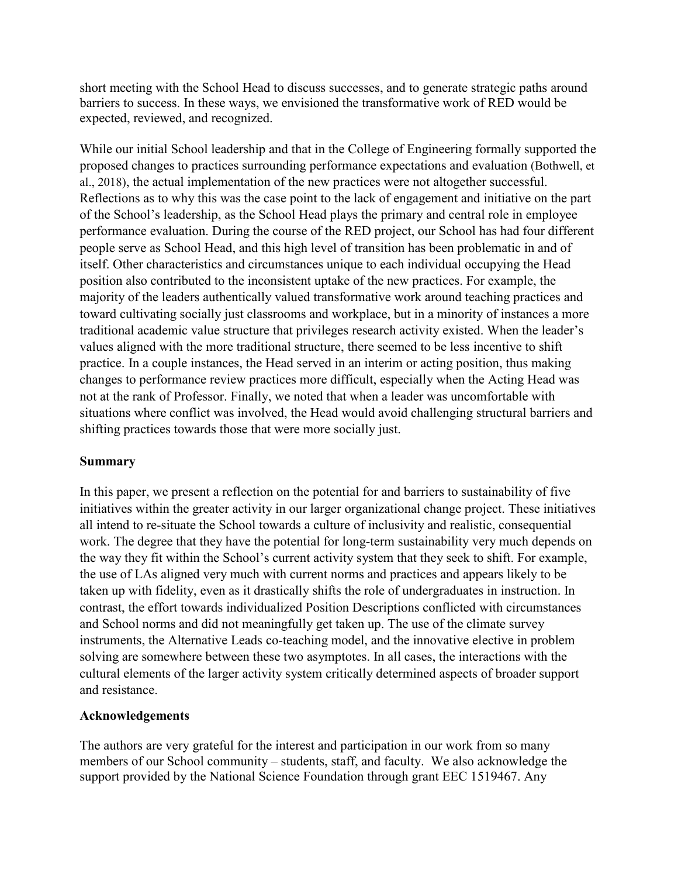short meeting with the School Head to discuss successes, and to generate strategic paths around barriers to success. In these ways, we envisioned the transformative work of RED would be expected, reviewed, and recognized.

While our initial School leadership and that in the College of Engineering formally supported the proposed changes to practices surrounding performance expectations and evaluation (Bothwell, et al., 2018), the actual implementation of the new practices were not altogether successful. Reflections as to why this was the case point to the lack of engagement and initiative on the part of the School's leadership, as the School Head plays the primary and central role in employee performance evaluation. During the course of the RED project, our School has had four different people serve as School Head, and this high level of transition has been problematic in and of itself. Other characteristics and circumstances unique to each individual occupying the Head position also contributed to the inconsistent uptake of the new practices. For example, the majority of the leaders authentically valued transformative work around teaching practices and toward cultivating socially just classrooms and workplace, but in a minority of instances a more traditional academic value structure that privileges research activity existed. When the leader's values aligned with the more traditional structure, there seemed to be less incentive to shift practice. In a couple instances, the Head served in an interim or acting position, thus making changes to performance review practices more difficult, especially when the Acting Head was not at the rank of Professor. Finally, we noted that when a leader was uncomfortable with situations where conflict was involved, the Head would avoid challenging structural barriers and shifting practices towards those that were more socially just.

### **Summary**

In this paper, we present a reflection on the potential for and barriers to sustainability of five initiatives within the greater activity in our larger organizational change project. These initiatives all intend to re-situate the School towards a culture of inclusivity and realistic, consequential work. The degree that they have the potential for long-term sustainability very much depends on the way they fit within the School's current activity system that they seek to shift. For example, the use of LAs aligned very much with current norms and practices and appears likely to be taken up with fidelity, even as it drastically shifts the role of undergraduates in instruction. In contrast, the effort towards individualized Position Descriptions conflicted with circumstances and School norms and did not meaningfully get taken up. The use of the climate survey instruments, the Alternative Leads co-teaching model, and the innovative elective in problem solving are somewhere between these two asymptotes. In all cases, the interactions with the cultural elements of the larger activity system critically determined aspects of broader support and resistance.

## **Acknowledgements**

The authors are very grateful for the interest and participation in our work from so many members of our School community – students, staff, and faculty. We also acknowledge the support provided by the National Science Foundation through grant EEC 1519467. Any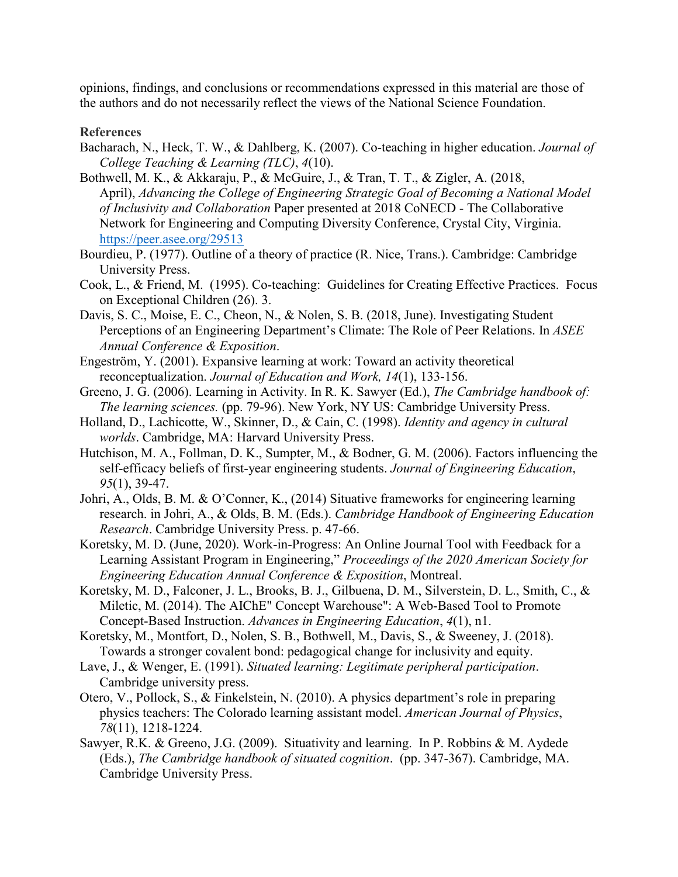opinions, findings, and conclusions or recommendations expressed in this material are those of the authors and do not necessarily reflect the views of the National Science Foundation.

#### **References**

- Bacharach, N., Heck, T. W., & Dahlberg, K. (2007). Co-teaching in higher education. *Journal of College Teaching & Learning (TLC)*, *4*(10).
- Bothwell, M. K., & Akkaraju, P., & McGuire, J., & Tran, T. T., & Zigler, A. (2018, April), *Advancing the College of Engineering Strategic Goal of Becoming a National Model of Inclusivity and Collaboration* Paper presented at 2018 CoNECD - The Collaborative Network for Engineering and Computing Diversity Conference, Crystal City, Virginia. <https://peer.asee.org/29513>
- Bourdieu, P. (1977). Outline of a theory of practice (R. Nice, Trans.). Cambridge: Cambridge University Press.
- Cook, L., & Friend, M. (1995). Co-teaching: Guidelines for Creating Effective Practices. Focus on Exceptional Children (26). 3.
- Davis, S. C., Moise, E. C., Cheon, N., & Nolen, S. B. (2018, June). Investigating Student Perceptions of an Engineering Department's Climate: The Role of Peer Relations. In *ASEE Annual Conference & Exposition*.
- Engeström, Y. (2001). Expansive learning at work: Toward an activity theoretical reconceptualization. *Journal of Education and Work, 14*(1), 133-156.
- Greeno, J. G. (2006). Learning in Activity. In R. K. Sawyer (Ed.), *The Cambridge handbook of: The learning sciences.* (pp. 79-96). New York, NY US: Cambridge University Press.
- Holland, D., Lachicotte, W., Skinner, D., & Cain, C. (1998). *Identity and agency in cultural worlds*. Cambridge, MA: Harvard University Press.
- Hutchison, M. A., Follman, D. K., Sumpter, M., & Bodner, G. M. (2006). Factors influencing the self‐efficacy beliefs of first‐year engineering students. *Journal of Engineering Education*, *95*(1), 39-47.
- Johri, A., Olds, B. M. & O'Conner, K., (2014) Situative frameworks for engineering learning research. in Johri, A., & Olds, B. M. (Eds.). *Cambridge Handbook of Engineering Education Research*. Cambridge University Press. p. 47-66.
- Koretsky, M. D. (June, 2020). Work-in-Progress: An Online Journal Tool with Feedback for a Learning Assistant Program in Engineering," *Proceedings of the 2020 American Society for Engineering Education Annual Conference & Exposition*, Montreal.
- Koretsky, M. D., Falconer, J. L., Brooks, B. J., Gilbuena, D. M., Silverstein, D. L., Smith, C., & Miletic, M. (2014). The AIChE" Concept Warehouse": A Web-Based Tool to Promote Concept-Based Instruction. *Advances in Engineering Education*, *4*(1), n1.
- Koretsky, M., Montfort, D., Nolen, S. B., Bothwell, M., Davis, S., & Sweeney, J. (2018). Towards a stronger covalent bond: pedagogical change for inclusivity and equity.
- Lave, J., & Wenger, E. (1991). *Situated learning: Legitimate peripheral participation*. Cambridge university press.
- Otero, V., Pollock, S., & Finkelstein, N. (2010). A physics department's role in preparing physics teachers: The Colorado learning assistant model. *American Journal of Physics*, *78*(11), 1218-1224.
- Sawyer, R.K. & Greeno, J.G. (2009). Situativity and learning. In P. Robbins & M. Aydede (Eds.), *The Cambridge handbook of situated cognition*. (pp. 347-367). Cambridge, MA. Cambridge University Press.